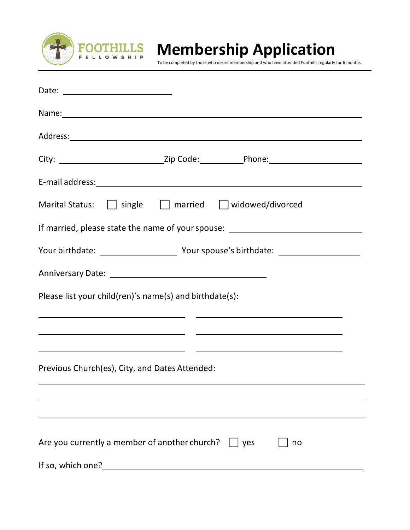

 **Membership Application**

To be completed by those who desire membership and who have attended Foothills regularly for 6 months.

|                                                         | Name: Name: Name: Name: Name: Name: Name: Name: Name: Name: Name: Name: Name: Name: Name: Name: Name: Name: Name: Name: Name: Name: Name: Name: Name: Name: Name: Name: Name: Name: Name: Name: Name: Name: Name: Name: Name: |
|---------------------------------------------------------|-------------------------------------------------------------------------------------------------------------------------------------------------------------------------------------------------------------------------------|
|                                                         |                                                                                                                                                                                                                               |
|                                                         | City: _________________________________Zip Code:_____________Phone:________________________________                                                                                                                           |
|                                                         |                                                                                                                                                                                                                               |
|                                                         | Marital Status: $\Box$ single $\Box$ married $\Box$ widowed/divorced                                                                                                                                                          |
| If married, please state the name of your spouse:       |                                                                                                                                                                                                                               |
|                                                         |                                                                                                                                                                                                                               |
|                                                         |                                                                                                                                                                                                                               |
| Please list your child(ren)'s name(s) and birthdate(s): |                                                                                                                                                                                                                               |
|                                                         |                                                                                                                                                                                                                               |
|                                                         | <u> 1989 - Johann Barn, fransk politik (f. 1989)</u>                                                                                                                                                                          |
| Previous Church(es), City, and Dates Attended:          |                                                                                                                                                                                                                               |
|                                                         |                                                                                                                                                                                                                               |
|                                                         |                                                                                                                                                                                                                               |
| Are you currently a member of another church?           | yes<br>no                                                                                                                                                                                                                     |
| If so, which one?                                       |                                                                                                                                                                                                                               |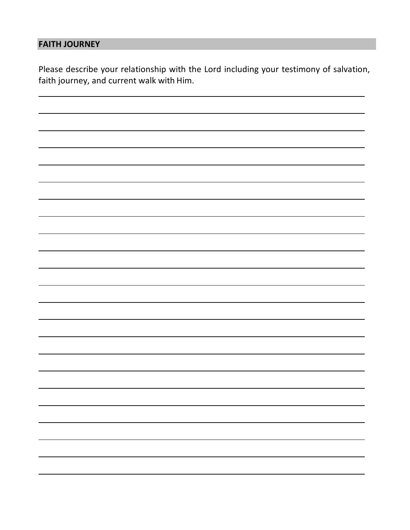## **FAITH JOURNEY**

Please describe your relationship with the Lord including your testimony of salvation, faith journey, and current walk with Him.